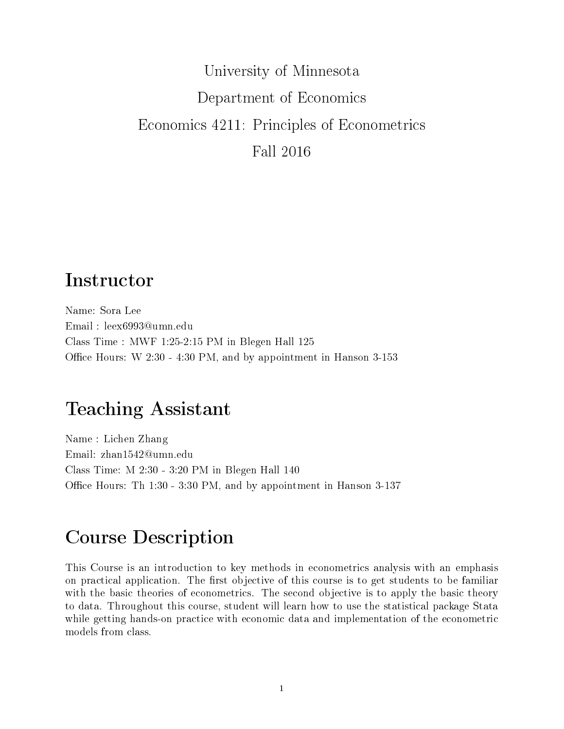# University of Minnesota Department of Economics Economics 4211: Principles of Econometrics Fall 2016

## Instructor

Name: Sora Lee Email : leex6993@umn.edu Class Time : MWF 1:25-2:15 PM in Blegen Hall 125 Office Hours: W  $2:30 - 4:30 \text{ PM}$ , and by appointment in Hanson  $3-153$ 

## Teaching Assistant

Name : Lichen Zhang Email: zhan1542@umn.edu Class Time: M 2:30 - 3:20 PM in Blegen Hall 140 Office Hours: Th 1:30 - 3:30 PM, and by appointment in Hanson 3-137

## Course Description

This Course is an introduction to key methods in econometrics analysis with an emphasis on practical application. The first objective of this course is to get students to be familiar with the basic theories of econometrics. The second objective is to apply the basic theory to data. Throughout this course, student will learn how to use the statistical package Stata while getting hands-on practice with economic data and implementation of the econometric models from class.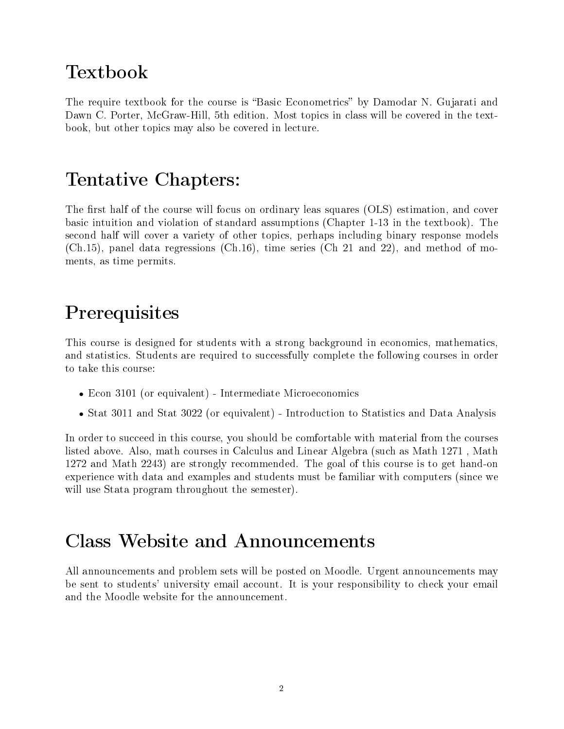## Textbook

The require textbook for the course is "Basic Econometrics" by Damodar N. Gujarati and Dawn C. Porter, McGraw-Hill, 5th edition. Most topics in class will be covered in the textbook, but other topics may also be covered in lecture.

## Tentative Chapters:

The first half of the course will focus on ordinary leas squares (OLS) estimation, and cover basic intuition and violation of standard assumptions (Chapter 1-13 in the textbook). The second half will cover a variety of other topics, perhaps including binary response models (Ch.15), panel data regressions (Ch.16), time series (Ch 21 and 22), and method of moments, as time permits.

## **Prerequisites**

This course is designed for students with a strong background in economics, mathematics, and statistics. Students are required to successfully complete the following courses in order to take this course:

- Econ 3101 (or equivalent) Intermediate Microeconomics
- Stat 3011 and Stat 3022 (or equivalent) Introduction to Statistics and Data Analysis

In order to succeed in this course, you should be comfortable with material from the courses listed above. Also, math courses in Calculus and Linear Algebra (such as Math 1271 , Math 1272 and Math 2243) are strongly recommended. The goal of this course is to get hand-on experience with data and examples and students must be familiar with computers (since we will use Stata program throughout the semester).

### Class Website and Announcements

All announcements and problem sets will be posted on Moodle. Urgent announcements may be sent to students' university email account. It is your responsibility to check your email and the Moodle website for the announcement.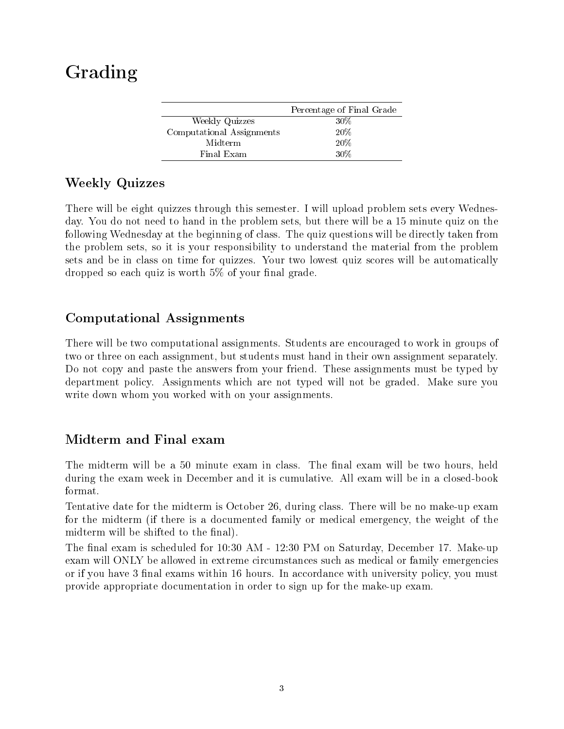## Grading

|                           | Percentage of Final Grade |
|---------------------------|---------------------------|
| Weekly Quizzes            | 30%                       |
| Computational Assignments | 20%                       |
| Midterm                   | 20%                       |
| Final Exam                | 30%                       |
|                           |                           |

#### Weekly Quizzes

There will be eight quizzes through this semester. I will upload problem sets every Wednesday. You do not need to hand in the problem sets, but there will be a 15 minute quiz on the following Wednesday at the beginning of class. The quiz questions will be directly taken from the problem sets, so it is your responsibility to understand the material from the problem sets and be in class on time for quizzes. Your two lowest quiz scores will be automatically dropped so each quiz is worth  $5\%$  of your final grade.

#### Computational Assignments

There will be two computational assignments. Students are encouraged to work in groups of two or three on each assignment, but students must hand in their own assignment separately. Do not copy and paste the answers from your friend. These assignments must be typed by department policy. Assignments which are not typed will not be graded. Make sure you write down whom you worked with on your assignments.

#### Midterm and Final exam

The midterm will be a 50 minute exam in class. The final exam will be two hours, held during the exam week in December and it is cumulative. All exam will be in a closed-book format.

Tentative date for the midterm is October 26, during class. There will be no make-up exam for the midterm (if there is a documented family or medical emergency, the weight of the midterm will be shifted to the final).

The final exam is scheduled for 10:30 AM - 12:30 PM on Saturday, December 17. Make-up exam will ONLY be allowed in extreme circumstances such as medical or family emergencies or if you have 3 final exams within 16 hours. In accordance with university policy, you must provide appropriate documentation in order to sign up for the make-up exam.